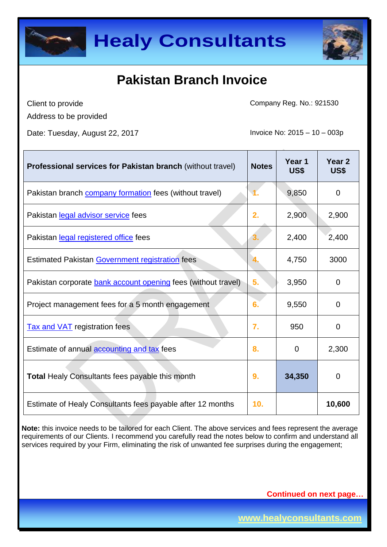



Client to provide Address to be provided Company Reg. No.: 921530

Date: Tuesday, August 22, 2017 **Invoice No: 2015 – 10 – 003p** 

| <b>Professional services for Pakistan branch (without travel)</b>    | <b>Notes</b>     | Year <sub>1</sub><br>US\$ | Year <sub>2</sub><br>US\$ |
|----------------------------------------------------------------------|------------------|---------------------------|---------------------------|
| Pakistan branch <b>company formation</b> fees (without travel)       |                  | 9,850                     | $\overline{0}$            |
| Pakistan legal advisor service fees                                  | 2.               | 2,900                     | 2,900                     |
| Pakistan legal registered office fees                                | 3.               | 2,400                     | 2,400                     |
| <b>Estimated Pakistan Government registration fees</b>               |                  | 4,750                     | 3000                      |
| Pakistan corporate <b>bank account opening</b> fees (without travel) | 5.               | 3,950                     | $\Omega$                  |
| Project management fees for a 5 month engagement                     | 6.               | 9,550                     | $\Omega$                  |
| <b>Tax and VAT</b> registration fees                                 | $\overline{7}$ . | 950                       | 0                         |
| Estimate of annual accounting and tax fees                           | 8.               | $\mathbf 0$               | 2,300                     |
| <b>Total Healy Consultants fees payable this month</b>               | 9.               | 34,350                    | $\mathbf 0$               |
| Estimate of Healy Consultants fees payable after 12 months           | 10.              |                           | 10,600                    |

**Note:** this invoice needs to be tailored for each Client. The above services and fees represent the average requirements of our Clients. I recommend you carefully read the notes below to confirm and understand all services required by your Firm, eliminating the risk of unwanted fee surprises during the engagement;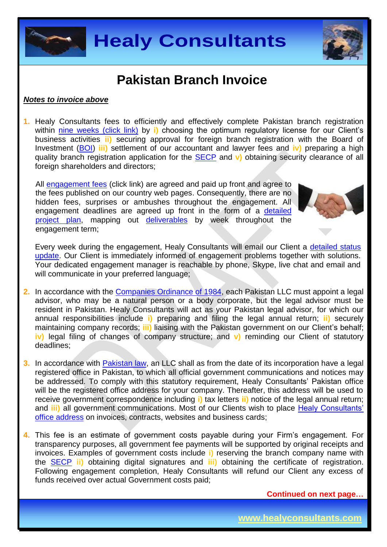



#### *Notes to invoice above*

**1.** Healy Consultants fees to efficiently and effectively complete Pakistan branch registration within [nine weeks](http://www.healyconsultants.com/pakistan-company-registration/fees-timelines/#timelines) (click link) by **i**) choosing the optimum regulatory license for our Client's business activities **ii)** securing approval for foreign branch registration with the Board of Investment [\(BOI\)](http://boi.gov.pk/) **iii)** settlement of our accountant and lawyer fees and **iv)** preparing a high quality branch registration application for the [SECP](http://www.secp.gov.pk/) and **v)** obtaining security clearance of all foreign shareholders and directors;

All [engagement fees](http://www.healyconsultants.com/company-registration-fees/) (click link) are agreed and paid up front and agree to the fees published on our country web pages. Consequently, there are no hidden fees, surprises or ambushes throughout the engagement. All engagement deadlines are agreed up front in the form of a [detailed](http://www.healyconsultants.com/index-important-links/example-project-plan/)  [project plan,](http://www.healyconsultants.com/index-important-links/example-project-plan/) mapping out [deliverables](http://www.healyconsultants.com/deliverables-to-our-clients/) by week throughout the engagement term;



Every week during the engagement, Healy Consultants will email our Client a [detailed status](http://www.healyconsultants.com/index-important-links/weekly-engagement-status-email/)  [update.](http://www.healyconsultants.com/index-important-links/weekly-engagement-status-email/) Our Client is immediately informed of engagement problems together with solutions. Your dedicated engagement manager is reachable by phone, Skype, live chat and email and will communicate in your preferred language;

- **2.** In accordance with the [Companies Ordinance of 1984,](http://www.bu.edu/bucflp/files/2012/01/Companies-Ordinance-of-1984.pdf) each Pakistan LLC must appoint a legal advisor, who may be a natural person or a body corporate, but the legal advisor must be resident in Pakistan. Healy Consultants will act as your Pakistan legal advisor, for which our annual responsibilities include **i)** preparing and filing the legal annual return; **ii)** securely maintaining company records; **iii)** liaising with the Pakistan government on our Client's behalf; **iv)** legal filing of changes of company structure; and **v)** reminding our Client of statutory deadlines;
- **3.** In accordance with **Pakistan law**, an LLC shall as from the date of its incorporation have a legal registered office in Pakistan, to which all official government communications and notices may be addressed. To comply with this statutory requirement, Healy Consultants' Pakistan office will be the registered office address for your company. Thereafter, this address will be used to receive government correspondence including **i)** tax letters **ii)** notice of the legal annual return; and **iii)** all government communications. Most of our Clients wish to place Healy Consultants' [office address](http://www.healyconsultants.com/corporate-outsourcing-services/company-secretary-and-legal-registered-office/) on invoices, contracts, websites and business cards;
- **4.** This fee is an estimate of government costs payable during your Firm's engagement. For transparency purposes, all government fee payments will be supported by original receipts and invoices. Examples of government costs include **i)** reserving the branch company name with the [SECP](http://www.secp.gov.pk/) **ii)** obtaining digital signatures and **iii)** obtaining the certificate of registration. Following engagement completion, Healy Consultants will refund our Client any excess of funds received over actual Government costs paid;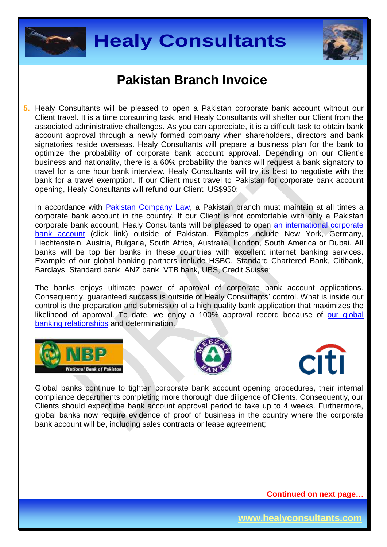



**5.** Healy Consultants will be pleased to open a Pakistan corporate bank account without our Client travel. It is a time consuming task, and Healy Consultants will shelter our Client from the associated administrative challenges. As you can appreciate, it is a difficult task to obtain bank account approval through a newly formed company when shareholders, directors and bank signatories reside overseas. Healy Consultants will prepare a business plan for the bank to optimize the probability of corporate bank account approval. Depending on our Client's business and nationality, there is a 60% probability the banks will request a bank signatory to travel for a one hour bank interview. Healy Consultants will try its best to negotiate with the bank for a travel exemption. If our Client must travel to Pakistan for corporate bank account opening, Healy Consultants will refund our Client US\$950;

In accordance with **Pakistan Company Law**, a Pakistan branch must maintain at all times a corporate bank account in the country. If our Client is not comfortable with only a Pakistan corporate bank account, Healy Consultants will be pleased to open [an international corporate](http://www.healyconsultants.com/international-banking/)  [bank account](http://www.healyconsultants.com/international-banking/) (click link) outside of Pakistan. Examples include New York, Germany, Liechtenstein, Austria, Bulgaria, South Africa, Australia, London, South America or Dubai. All banks will be top tier banks in these countries with excellent internet banking services. Example of our global banking partners include HSBC, Standard Chartered Bank, Citibank, Barclays, Standard bank, ANZ bank, VTB bank, UBS, Credit Suisse;

The banks enjoys ultimate power of approval of corporate bank account applications. Consequently, guaranteed success is outside of Healy Consultants' control. What is inside our control is the preparation and submission of a high quality bank application that maximizes the likelihood of approval. To date, we enjoy a 100% approval record because of our global [banking relationships](http://www.healyconsultants.com/international-banking/corporate-accounts/) and determination.







Global banks continue to tighten corporate bank account opening procedures, their internal compliance departments completing more thorough due diligence of Clients. Consequently, our Clients should expect the bank account approval period to take up to 4 weeks. Furthermore, global banks now require evidence of proof of business in the country where the corporate bank account will be, including sales contracts or lease agreement;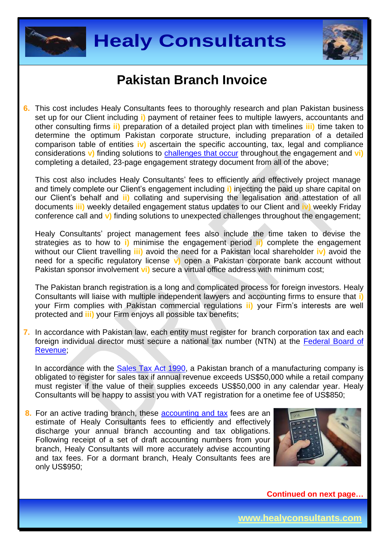



**6.** This cost includes Healy Consultants fees to thoroughly research and plan Pakistan business set up for our Client including **i)** payment of retainer fees to multiple lawyers, accountants and other consulting firms **ii)** preparation of a detailed project plan with timelines **iii)** time taken to determine the optimum Pakistan corporate structure, including preparation of a detailed comparison table of entities **iv)** ascertain the specific accounting, tax, legal and compliance considerations **v)** finding solutions to [challenges that occur](http://www.healyconsultants.com/engagement-project-management/) throughout the engagement and **vi)** completing a detailed, 23-page engagement strategy document from all of the above;

This cost also includes Healy Consultants' fees to efficiently and effectively project manage and timely complete our Client's engagement including **i)** injecting the paid up share capital on our Client's behalf and **ii)** collating and supervising the legalisation and attestation of all documents **iii)** weekly detailed engagement status updates to our Client and **iv)** weekly Friday conference call and **v)** finding solutions to unexpected challenges throughout the engagement;

Healy Consultants' project management fees also include the time taken to devise the strategies as to how to **i)** minimise the engagement period **ii)** complete the engagement without our Client travelling **iii)** avoid the need for a Pakistan local shareholder **iv)** avoid the need for a specific regulatory license **v)** open a Pakistan corporate bank account without Pakistan sponsor involvement **vi)** secure a virtual office address with minimum cost;

The Pakistan branch registration is a long and complicated process for foreign investors. Healy Consultants will liaise with multiple independent lawyers and accounting firms to ensure that **i)** your Firm complies with Pakistan commercial regulations **ii)** your Firm's interests are well protected and **iii)** your Firm enjoys all possible tax benefits;

**7.** In accordance with Pakistan law, each entity must register for branch corporation tax and each foreign individual director must secure a national tax number (NTN) at the [Federal Board](http://www.fbr.gov.pk/) of [Revenue;](http://www.fbr.gov.pk/)

In accordance with the [Sales Tax Act 1990,](http://download1.fbr.gov.pk/Docs/20101213131245110staxact1990.pdf) a Pakistan branch of a manufacturing company is obligated to register for sales tax if annual revenue exceeds US\$50,000 while a retail company must register if the value of their supplies exceeds US\$50,000 in any calendar year. Healy Consultants will be happy to assist you with VAT registration for a onetime fee of US\$850;

**8.** For an active trading branch, these [accounting and tax](http://www.healyconsultants.com/pakistan-company-registration/accounting-legal/) fees are an estimate of Healy Consultants fees to efficiently and effectively discharge your annual branch accounting and tax obligations. Following receipt of a set of draft accounting numbers from your branch, Healy Consultants will more accurately advise accounting and tax fees. For a dormant branch, Healy Consultants fees are only US\$950;

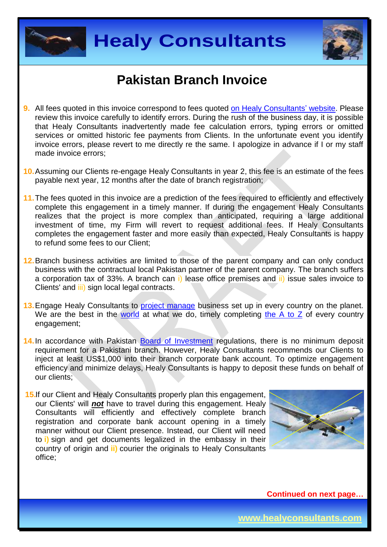



- **9.** All fees quoted in this invoice correspond to fees quoted [on Healy Consultants'](http://www.healyconsultants.com/company-registration-fees/) website. Please review this invoice carefully to identify errors. During the rush of the business day, it is possible that Healy Consultants inadvertently made fee calculation errors, typing errors or omitted services or omitted historic fee payments from Clients. In the unfortunate event you identify invoice errors, please revert to me directly re the same. I apologize in advance if I or my staff made invoice errors;
- **10.**Assuming our Clients re-engage Healy Consultants in year 2, this fee is an estimate of the fees payable next year, 12 months after the date of branch registration;
- **11.**The fees quoted in this invoice are a prediction of the fees required to efficiently and effectively complete this engagement in a timely manner. If during the engagement Healy Consultants realizes that the project is more complex than anticipated, requiring a large additional investment of time, my Firm will revert to request additional fees. If Healy Consultants completes the engagement faster and more easily than expected, Healy Consultants is happy to refund some fees to our Client;
- **12.**Branch business activities are limited to those of the parent company and can only conduct business with the contractual local Pakistan partner of the parent company. The branch suffers a corporation tax of 33%. A branch can i) lease office premises and ii) issue sales invoice to Clients' and *iii*) sign local legal contracts.
- 13. Engage Healy Consultants to [project manage](http://www.healyconsultants.com/project-manage-engagements/) business set up in every country on the planet. We are the best in the [world](http://www.healyconsultants.com/best-in-the-world/) at what we do, timely completing the  $A$  to  $Z$  of every country engagement;
- 14. In accordance with Pakistan [Board of Investment](http://boi.gov.pk/Services/ServiceProcessWizard.aspx?sid=4) regulations, there is no minimum deposit requirement for a Pakistani branch. However, Healy Consultants recommends our Clients to inject at least US\$1,000 into their branch corporate bank account. To optimize engagement efficiency and minimize delays, Healy Consultants is happy to deposit these funds on behalf of our clients;
- **15.**If our Client and Healy Consultants properly plan this engagement, our Clients' will *not* have to travel during this engagement. Healy Consultants will efficiently and effectively complete branch registration and corporate bank account opening in a timely manner without our Client presence. Instead, our Client will need to **i)** sign and get documents legalized in the embassy in their country of origin and **ii)** courier the originals to Healy Consultants office;

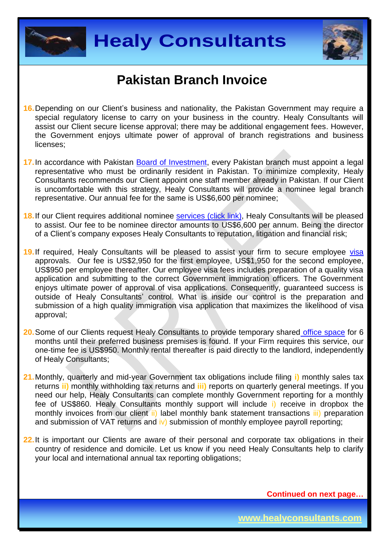



- **16.**Depending on our Client's business and nationality, the Pakistan Government may require a special regulatory license to carry on your business in the country. Healy Consultants will assist our Client secure license approval; there may be additional engagement fees. However, the Government enjoys ultimate power of approval of branch registrations and business licenses;
- **17.**In accordance with Pakistan [Board of Investment,](http://boi.gov.pk/Services/ServiceProcessWizard.aspx?sid=4) every Pakistan branch must appoint a legal representative who must be ordinarily resident in Pakistan. To minimize complexity, Healy Consultants recommends our Client appoint one staff member already in Pakistan. If our Client is uncomfortable with this strategy, Healy Consultants will provide a nominee legal branch representative. Our annual fee for the same is US\$6,600 per nominee;
- **18.** If our Client requires additional nominee services [\(click link\),](http://www.healyconsultants.com/corporate-outsourcing-services/nominee-shareholders-directors/) Healy Consultants will be pleased to assist. Our fee to be nominee director amounts to US\$6,600 per annum. Being the director of a Client's company exposes Healy Consultants to reputation, litigation and financial risk;
- 19. If required, Healy Consultants will be pleased to assist your firm to secure employee [visa](http://www.healyconsultants.com/pakistan-company-registration/formation-support-services/) approvals. Our fee is US\$2,950 for the first employee, US\$1,950 for the second employee, US\$950 per employee thereafter. Our employee visa fees includes preparation of a quality visa application and submitting to the correct Government immigration officers. The Government enjoys ultimate power of approval of visa applications. Consequently, guaranteed success is outside of Healy Consultants' control. What is inside our control is the preparation and submission of a high quality immigration visa application that maximizes the likelihood of visa approval;
- **20.**Some of our Clients request Healy Consultants to provide temporary shared [office space](http://www.healyconsultants.com/virtual-office/) for 6 months until their preferred business premises is found. If your Firm requires this service, our one-time fee is US\$950. Monthly rental thereafter is paid directly to the landlord, independently of Healy Consultants;
- **21.**Monthly, quarterly and mid-year Government tax obligations include filing **i)** monthly sales tax returns **ii)** monthly withholding tax returns and **iii)** reports on quarterly general meetings. If you need our help, Healy Consultants can complete monthly Government reporting for a monthly fee of US\$860. Healy Consultants monthly support will include i) receive in dropbox the monthly invoices from our client ii) label monthly bank statement transactions iii) preparation and submission of VAT returns and iv) submission of monthly employee payroll reporting;
- **22.**It is important our Clients are aware of their personal and corporate tax obligations in their country of residence and domicile. Let us know if you need Healy Consultants help to clarify your local and international annual tax reporting obligations;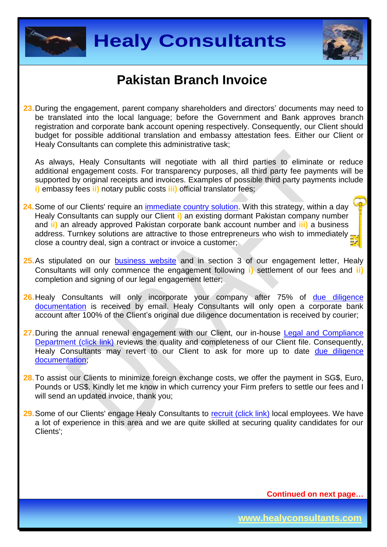



**23.**During the engagement, parent company shareholders and directors' documents may need to be translated into the local language; before the Government and Bank approves branch registration and corporate bank account opening respectively. Consequently, our Client should budget for possible additional translation and embassy attestation fees. Either our Client or Healy Consultants can complete this administrative task;

As always, Healy Consultants will negotiate with all third parties to eliminate or reduce additional engagement costs. For transparency purposes, all third party fee payments will be supported by original receipts and invoices. Examples of possible third party payments include **i)** embassy fees **ii)** notary public costs **iii)** official translator fees;

- **24.**Some of our Clients' require an [immediate country](http://www.healyconsultants.com/turnkey-solutions/) solution. With this strategy, within a day Healy Consultants can supply our Client **i)** an existing dormant Pakistan company number and **ii)** an already approved Pakistan corporate bank account number and **iii)** a business address. Turnkey solutions are attractive to those entrepreneurs who wish to immediately. close a country deal, sign a contract or invoice a customer;
- 25. As stipulated on our **[business website](http://www.healyconsultants.com/)** and in section 3 of our engagement letter, Healy Consultants will only commence the engagement following **i)** settlement of our fees and **ii)** completion and signing of our legal engagement letter;
- 26. Healy Consultants will only incorporate your company after 75% of due diligence [documentation](http://www.healyconsultants.com/due-diligence/) is received by email. Healy Consultants will only open a corporate bank account after 100% of the Client's original due diligence documentation is received by courier;
- **27.**During the annual renewal engagement with our Client, our in-house [Legal and Compliance](http://www.healyconsultants.com/about-us/key-personnel/cai-xin-profile/)  [Department \(click link\)](http://www.healyconsultants.com/about-us/key-personnel/cai-xin-profile/) reviews the quality and completeness of our Client file. Consequently, Healy Consultants may revert to our Client to ask for more up to date due diligence [documentation;](http://www.healyconsultants.com/due-diligence/)
- **28.**To assist our Clients to minimize foreign exchange costs, we offer the payment in SG\$, Euro, Pounds or US\$. Kindly let me know in which currency your Firm prefers to settle our fees and I will send an updated invoice, thank you:
- **29.**Some of our Clients' engage Healy Consultants to [recruit \(click link\)](http://www.healyconsultants.com/corporate-outsourcing-services/how-we-help-our-clients-recruit-quality-employees/) local employees. We have a lot of experience in this area and we are quite skilled at securing quality candidates for our Clients';